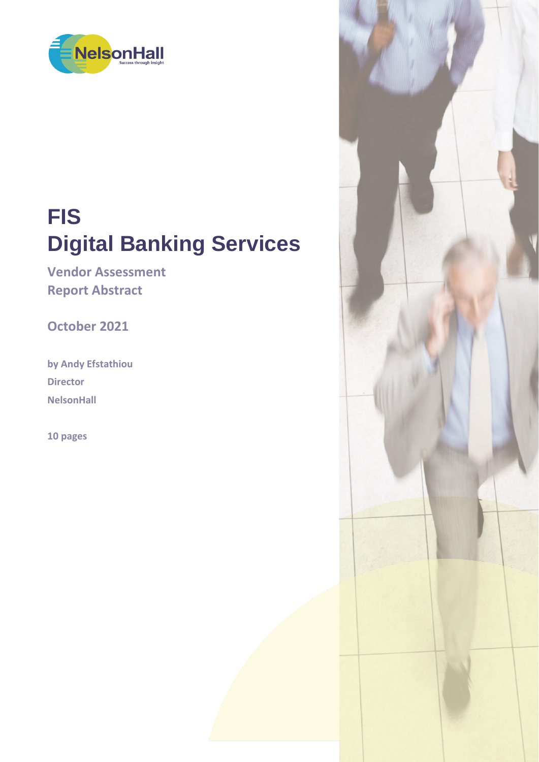

# **FIS Digital Banking Services**

**Vendor Assessment Report Abstract**

**October 2021**

**by Andy Efstathiou Director NelsonHall**

**10 pages**

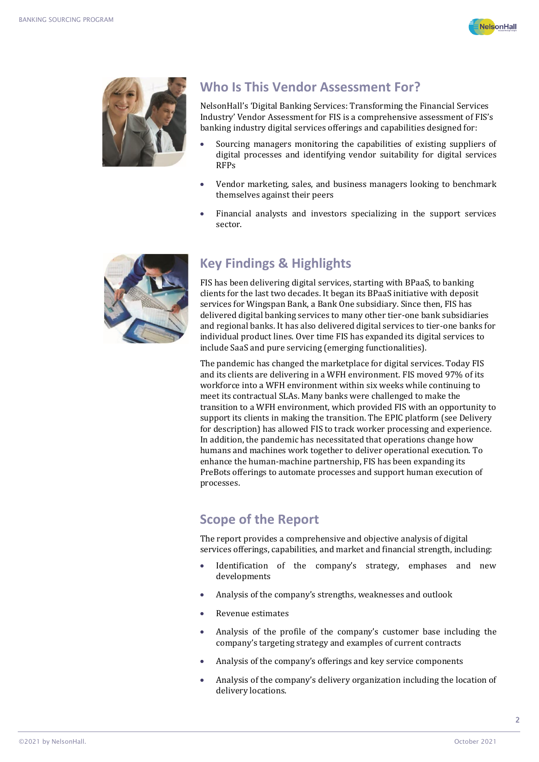



#### **Who Is This Vendor Assessment For?**

NelsonHall's 'Digital Banking Services: Transforming the Financial Services Industry' Vendor Assessment for FIS is a comprehensive assessment of FIS's banking industry digital services offerings and capabilities designed for:

- Sourcing managers monitoring the capabilities of existing suppliers of digital processes and identifying vendor suitability for digital services RFPs
- Vendor marketing, sales, and business managers looking to benchmark themselves against their peers
- Financial analysts and investors specializing in the support services sector.



#### **Key Findings & Highlights**

FIS has been delivering digital services, starting with BPaaS, to banking clients for the last two decades. It began its BPaaS initiative with deposit services for Wingspan Bank, a Bank One subsidiary. Since then, FIS has delivered digital banking services to many other tier-one bank subsidiaries and regional banks. It has also delivered digital services to tier-one banks for individual product lines. Over time FIS has expanded its digital services to include SaaS and pure servicing (emerging functionalities).

The pandemic has changed the marketplace for digital services. Today FIS and its clients are delivering in a WFH environment. FIS moved 97% of its workforce into a WFH environment within six weeks while continuing to meet its contractual SLAs. Many banks were challenged to make the transition to a WFH environment, which provided FIS with an opportunity to support its clients in making the transition. The EPIC platform (see Delivery for description) has allowed FIS to track worker processing and experience. In addition, the pandemic has necessitated that operations change how humans and machines work together to deliver operational execution. To enhance the human-machine partnership, FIS has been expanding its PreBots offerings to automate processes and support human execution of processes.

#### **Scope of the Report**

The report provides a comprehensive and objective analysis of digital services offerings, capabilities, and market and financial strength, including:

- Identification of the company's strategy, emphases and new developments
- Analysis of the company's strengths, weaknesses and outlook
- Revenue estimates
- Analysis of the profile of the company's customer base including the company's targeting strategy and examples of current contracts
- Analysis of the company's offerings and key service components
- Analysis of the company's delivery organization including the location of delivery locations.